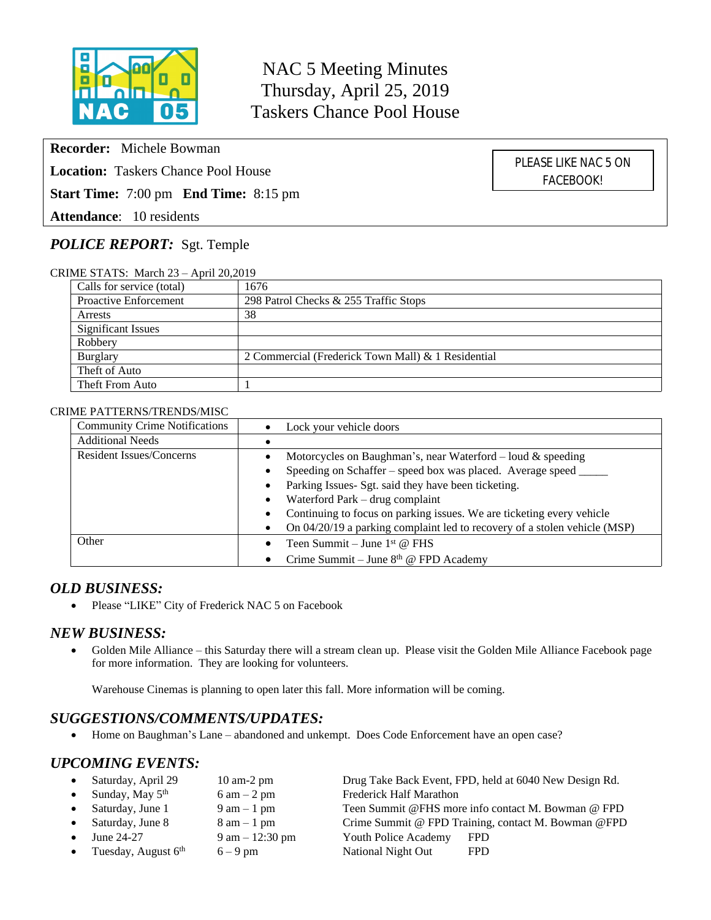

NAC 5 Meeting Minutes Thursday, April 25, 2019 Taskers Chance Pool House

**Recorder:** Michele Bowman

**Location:** Taskers Chance Pool House

**Start Time:** 7:00 pm **End Time:** 8:15 pm

**Attendance**: 10 residents

# *POLICE REPORT:* Sgt. Temple

CRIME STATS: March 23 – April 20,2019

| Calls for service (total)    | 1676                                               |  |  |
|------------------------------|----------------------------------------------------|--|--|
| <b>Proactive Enforcement</b> | 298 Patrol Checks & 255 Traffic Stops              |  |  |
| Arrests                      | 38                                                 |  |  |
| <b>Significant Issues</b>    |                                                    |  |  |
| Robbery                      |                                                    |  |  |
| Burglary                     | 2 Commercial (Frederick Town Mall) & 1 Residential |  |  |
| Theft of Auto                |                                                    |  |  |
| Theft From Auto              |                                                    |  |  |

#### CRIME PATTERNS/TRENDS/MISC

| <b>Community Crime Notifications</b> | Lock your vehicle doors                                                   |  |
|--------------------------------------|---------------------------------------------------------------------------|--|
| <b>Additional Needs</b>              |                                                                           |  |
| Resident Issues/Concerns             | Motorcycles on Baughman's, near Waterford – loud $\&$ speeding            |  |
|                                      | Speeding on Schaffer – speed box was placed. Average speed ____           |  |
|                                      | Parking Issues- Sgt. said they have been ticketing.                       |  |
|                                      | Waterford Park – drug complaint<br>$\bullet$                              |  |
|                                      | Continuing to focus on parking issues. We are ticketing every vehicle     |  |
|                                      | On 04/20/19 a parking complaint led to recovery of a stolen vehicle (MSP) |  |
| Other                                | Teen Summit – June $1st$ @ FHS                                            |  |
|                                      | Crime Summit – June 8 <sup>th</sup> @ FPD Academy                         |  |

### *OLD BUSINESS:*

• Please "LIKE" City of Frederick NAC 5 on Facebook

#### *NEW BUSINESS:*

 Golden Mile Alliance – this Saturday there will a stream clean up. Please visit the Golden Mile Alliance Facebook page for more information. They are looking for volunteers.

Warehouse Cinemas is planning to open later this fall. More information will be coming.

### *SUGGESTIONS/COMMENTS/UPDATES:*

Home on Baughman's Lane – abandoned and unkempt. Does Code Enforcement have an open case?

### *UPCOMING EVENTS:*

| Saturday, April 29      | $10 \text{ am-}2 \text{ pm}$      |                                | Drug Take Back Event, FPD, held at 6040 New Design Rd. |
|-------------------------|-----------------------------------|--------------------------------|--------------------------------------------------------|
| • Sunday, May $5th$     | $6 \text{ am} - 2 \text{ pm}$     | <b>Frederick Half Marathon</b> |                                                        |
| Saturday, June 1        | $9 \text{ am} - 1 \text{ pm}$     |                                | Teen Summit @FHS more info contact M. Bowman @ FPD     |
| • Saturday, June $8$    | $8 \text{ am} - 1 \text{ pm}$     |                                | Crime Summit @ FPD Training, contact M. Bowman @FPD    |
| June 24-27              | $9 \text{ am} - 12:30 \text{ pm}$ | Youth Police Academy           | <b>FPD</b>                                             |
| • Tuesday, August $6th$ | $6 - 9$ pm                        | National Night Out             | <b>FPD</b>                                             |

PLEASE LIKE NAC 5 ON FACEBOOK!